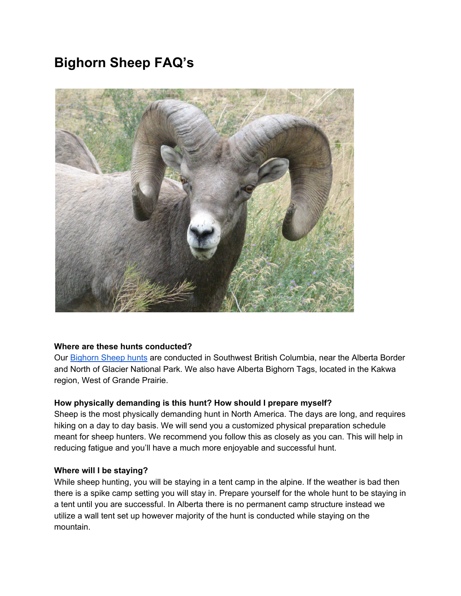# **Bighorn Sheep FAQ's**



# **Where are these hunts conducted?**

Our [Bighorn](http://toaltd.com/project/big-horn-sheep/) Sheep hunts are conducted in Southwest British Columbia, near the Alberta Border and North of Glacier National Park. We also have Alberta Bighorn Tags, located in the Kakwa region, West of Grande Prairie.

# **How physically demanding is this hunt? How should I prepare myself?**

Sheep is the most physically demanding hunt in North America. The days are long, and requires hiking on a day to day basis. We will send you a customized physical preparation schedule meant for sheep hunters. We recommend you follow this as closely as you can. This will help in reducing fatigue and you'll have a much more enjoyable and successful hunt.

#### **Where will I be staying?**

While sheep hunting, you will be staying in a tent camp in the alpine. If the weather is bad then there is a spike camp setting you will stay in. Prepare yourself for the whole hunt to be staying in a tent until you are successful. In Alberta there is no permanent camp structure instead we utilize a wall tent set up however majority of the hunt is conducted while staying on the mountain.